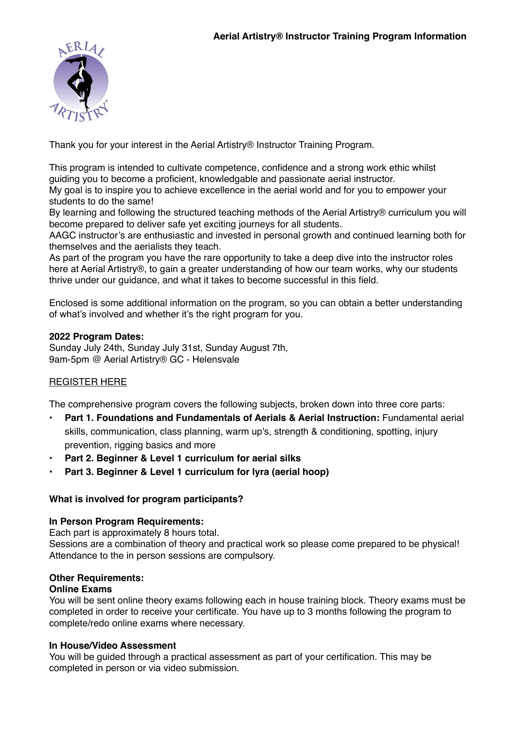

Thank you for your interest in the Aerial Artistry® Instructor Training Program.

This program is intended to cultivate competence, confidence and a strong work ethic whilst guiding you to become a proficient, knowledgable and passionate aerial instructor.

My goal is to inspire you to achieve excellence in the aerial world and for you to empower your students to do the same!

By learning and following the structured teaching methods of the Aerial Artistry® curriculum you will become prepared to deliver safe yet exciting journeys for all students.

AAGC instructor's are enthusiastic and invested in personal growth and continued learning both for themselves and the aerialists they teach.

As part of the program you have the rare opportunity to take a deep dive into the instructor roles here at Aerial Artistry®, to gain a greater understanding of how our team works, why our students thrive under our guidance, and what it takes to become successful in this field.

Enclosed is some additional information on the program, so you can obtain a better understanding of what's involved and whether it's the right program for you.

## **2022 Program Dates:**

Sunday July 24th, Sunday July 31st, Sunday August 7th, 9am-5pm @ Aerial Artistry® GC - Helensvale

# [REGISTER HERE](https://forms.gle/pY6v375B8UTyRyAS9)

The comprehensive program covers the following subjects, broken down into three core parts:

- **Part 1. Foundations and Fundamentals of Aerials & Aerial Instruction: Fundamental aerial** skills, communication, class planning, warm up's, strength & conditioning, spotting, injury prevention, rigging basics and more
- **• Part 2. Beginner & Level 1 curriculum for aerial silks**
- **• Part 3. Beginner & Level 1 curriculum for lyra (aerial hoop)**

## **What is involved for program participants?**

## **In Person Program Requirements:**

Each part is approximately 8 hours total.

Sessions are a combination of theory and practical work so please come prepared to be physical! Attendance to the in person sessions are compulsory.

## **Other Requirements:**

## **Online Exams**

You will be sent online theory exams following each in house training block. Theory exams must be completed in order to receive your certificate. You have up to 3 months following the program to complete/redo online exams where necessary.

## **In House/Video Assessment**

You will be guided through a practical assessment as part of your certification. This may be completed in person or via video submission.